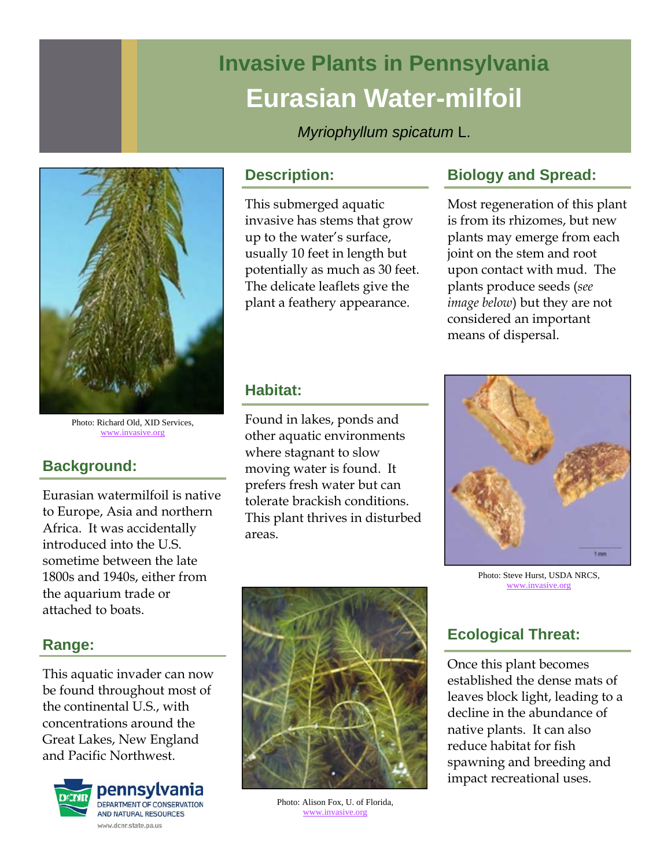# **Invasive Plants in Pennsylvania Eurasian Water-milfoil**

*Myriophyllum spicatum* L.



Photo: Richard Old, XID Services, www.invasive.org

# **Background:**

Eurasian watermilfoil is native to Europe, Asia and northern Africa. It was accidentally introduced into the U.S. sometime between the late 1800s and 1940s, either from the aquarium trade or attached to boats.

# **Range:**

This aquatic invader can now be found throughout most of the continental U.S., with concentrations around the Great Lakes, New England and Pacific Northwest.



#### **Description:**

This submerged aquatic invasive has stems that grow up to the water's surface, usually 10 feet in length but potentially as much as 30 feet. The delicate leaflets give the plant a feathery appearance.

# **Biology and Spread:**

Most regeneration of this plant is from its rhizomes, but new plants may emerge from each joint on the stem and root upon contact with mud. The plants produce seeds (*see image below*) but they are not considered an important means of dispersal.

## **Habitat:**

Found in lakes, ponds and other aquatic environments where stagnant to slow moving water is found. It prefers fresh water but can tolerate brackish conditions. This plant thrives in disturbed areas.



Photo: Steve Hurst, USDA NRCS, www.invasive.org



Photo: Alison Fox, U. of Florida, www.invasive.org

# **Ecological Threat:**

Once this plant becomes established the dense mats of leaves block light, leading to a decline in the abundance of native plants. It can also reduce habitat for fish spawning and breeding and impact recreational uses.